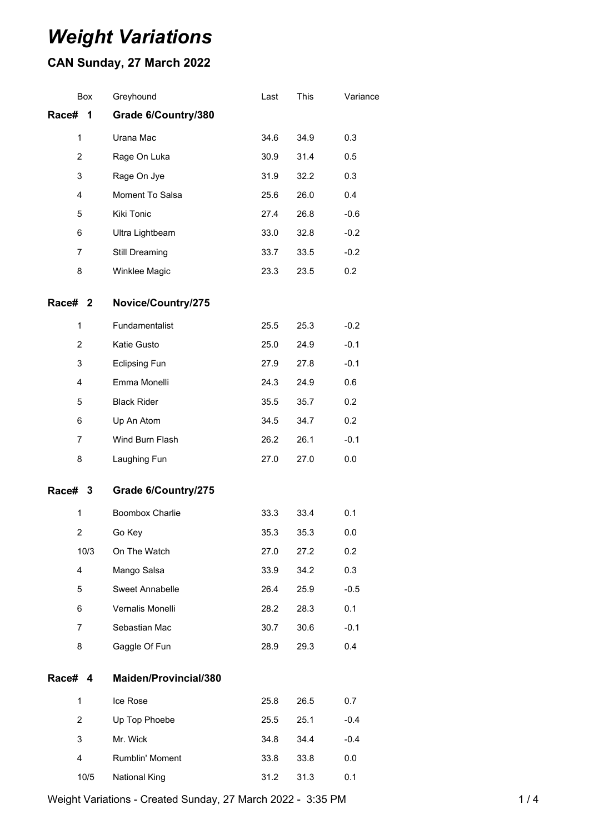# *Weight Variations*

## **CAN Sunday, 27 March 2022**

|                | Box  | Greyhound                    | Last | This | Variance |
|----------------|------|------------------------------|------|------|----------|
| Race#          | 1    | Grade 6/Country/380          |      |      |          |
| 1              |      | Urana Mac                    | 34.6 | 34.9 | 0.3      |
| $\overline{2}$ |      | Rage On Luka                 | 30.9 | 31.4 | 0.5      |
| 3              |      | Rage On Jye                  | 31.9 | 32.2 | 0.3      |
| 4              |      | Moment To Salsa              | 25.6 | 26.0 | 0.4      |
| 5              |      | Kiki Tonic                   | 27.4 | 26.8 | $-0.6$   |
| 6              |      | Ultra Lightbeam              | 33.0 | 32.8 | $-0.2$   |
| 7              |      | Still Dreaming               | 33.7 | 33.5 | $-0.2$   |
| 8              |      | Winklee Magic                | 23.3 | 23.5 | 0.2      |
| Race# 2        |      | Novice/Country/275           |      |      |          |
| 1              |      | Fundamentalist               | 25.5 | 25.3 | $-0.2$   |
| 2              |      | Katie Gusto                  | 25.0 | 24.9 | $-0.1$   |
| 3              |      | <b>Eclipsing Fun</b>         | 27.9 | 27.8 | $-0.1$   |
| 4              |      | Emma Monelli                 | 24.3 | 24.9 | 0.6      |
| 5              |      | <b>Black Rider</b>           | 35.5 | 35.7 | 0.2      |
| 6              |      | Up An Atom                   | 34.5 | 34.7 | 0.2      |
| $\overline{7}$ |      | Wind Burn Flash              | 26.2 | 26.1 | $-0.1$   |
| 8              |      | Laughing Fun                 | 27.0 | 27.0 | 0.0      |
| Race# 3        |      | Grade 6/Country/275          |      |      |          |
| 1              |      | Boombox Charlie              | 33.3 | 33.4 | 0.1      |
| 2              |      | Go Key                       | 35.3 | 35.3 | 0.0      |
|                | 10/3 | On The Watch                 | 27.0 | 27.2 | 0.2      |
| 4              |      | Mango Salsa                  | 33.9 | 34.2 | 0.3      |
| 5              |      | Sweet Annabelle              | 26.4 | 25.9 | $-0.5$   |
| 6              |      | Vernalis Monelli             | 28.2 | 28.3 | 0.1      |
| 7              |      | Sebastian Mac                | 30.7 | 30.6 | $-0.1$   |
| 8              |      | Gaggle Of Fun                | 28.9 | 29.3 | 0.4      |
| Race# 4        |      | <b>Maiden/Provincial/380</b> |      |      |          |
| 1              |      | Ice Rose                     | 25.8 | 26.5 | 0.7      |
| $\overline{2}$ |      | Up Top Phoebe                | 25.5 | 25.1 | $-0.4$   |
| 3              |      | Mr. Wick                     | 34.8 | 34.4 | $-0.4$   |
| 4              |      | Rumblin' Moment              | 33.8 | 33.8 | 0.0      |
|                | 10/5 | National King                | 31.2 | 31.3 | 0.1      |

Weight Variations - Created Sunday, 27 March 2022 - 3:35 PM 1/4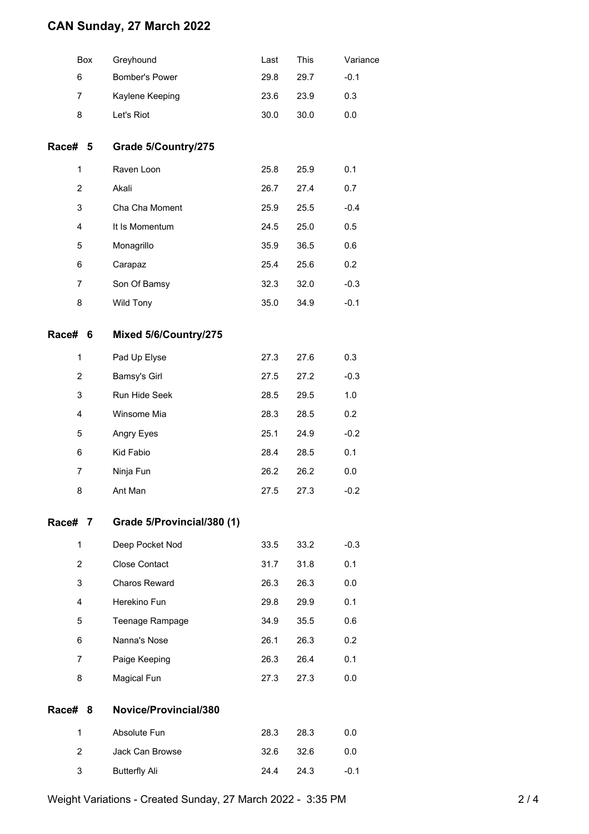### **CAN Sunday, 27 March 2022**

|                | Box | Greyhound                  | Last | This | Variance |
|----------------|-----|----------------------------|------|------|----------|
| 6              |     | Bomber's Power             | 29.8 | 29.7 | $-0.1$   |
| 7              |     | Kaylene Keeping            | 23.6 | 23.9 | 0.3      |
| 8              |     | Let's Riot                 | 30.0 | 30.0 | $0.0\,$  |
| Race# 5        |     | Grade 5/Country/275        |      |      |          |
| 1              |     | Raven Loon                 | 25.8 | 25.9 | 0.1      |
| $\overline{2}$ |     | Akali                      | 26.7 | 27.4 | 0.7      |
| 3              |     | Cha Cha Moment             | 25.9 | 25.5 | $-0.4$   |
| 4              |     | It Is Momentum             | 24.5 | 25.0 | 0.5      |
| 5              |     | Monagrillo                 | 35.9 | 36.5 | 0.6      |
| 6              |     | Carapaz                    | 25.4 | 25.6 | 0.2      |
| $\overline{7}$ |     | Son Of Bamsy               | 32.3 | 32.0 | $-0.3$   |
| 8              |     | Wild Tony                  | 35.0 | 34.9 | $-0.1$   |
| Race# 6        |     | Mixed 5/6/Country/275      |      |      |          |
| 1              |     | Pad Up Elyse               | 27.3 | 27.6 | 0.3      |
| $\overline{2}$ |     | Bamsy's Girl               | 27.5 | 27.2 | $-0.3$   |
| 3              |     | Run Hide Seek              | 28.5 | 29.5 | 1.0      |
| 4              |     | Winsome Mia                | 28.3 | 28.5 | 0.2      |
| 5              |     | Angry Eyes                 | 25.1 | 24.9 | $-0.2$   |
| 6              |     | Kid Fabio                  | 28.4 | 28.5 | 0.1      |
| $\overline{7}$ |     | Ninja Fun                  | 26.2 | 26.2 | 0.0      |
| 8              |     | Ant Man                    | 27.5 | 27.3 | $-0.2$   |
| Race# 7        |     | Grade 5/Provincial/380 (1) |      |      |          |
| 1              |     | Deep Pocket Nod            | 33.5 | 33.2 | $-0.3$   |
| $\overline{2}$ |     | <b>Close Contact</b>       | 31.7 | 31.8 | 0.1      |
| 3              |     | Charos Reward              | 26.3 | 26.3 | 0.0      |
| 4              |     | Herekino Fun               | 29.8 | 29.9 | 0.1      |
| 5              |     | Teenage Rampage            | 34.9 | 35.5 | 0.6      |
| 6              |     | Nanna's Nose               | 26.1 | 26.3 | 0.2      |
| $\overline{7}$ |     | Paige Keeping              | 26.3 | 26.4 | 0.1      |
| 8              |     | Magical Fun                | 27.3 | 27.3 | 0.0      |
| Race#          | 8   | Novice/Provincial/380      |      |      |          |
| 1              |     | Absolute Fun               | 28.3 | 28.3 | 0.0      |
| 2              |     | Jack Can Browse            | 32.6 | 32.6 | 0.0      |
| 3              |     | <b>Butterfly Ali</b>       | 24.4 | 24.3 | $-0.1$   |
|                |     |                            |      |      |          |

Weight Variations - Created Sunday, 27 March 2022 - 3:35 PM 2 / 4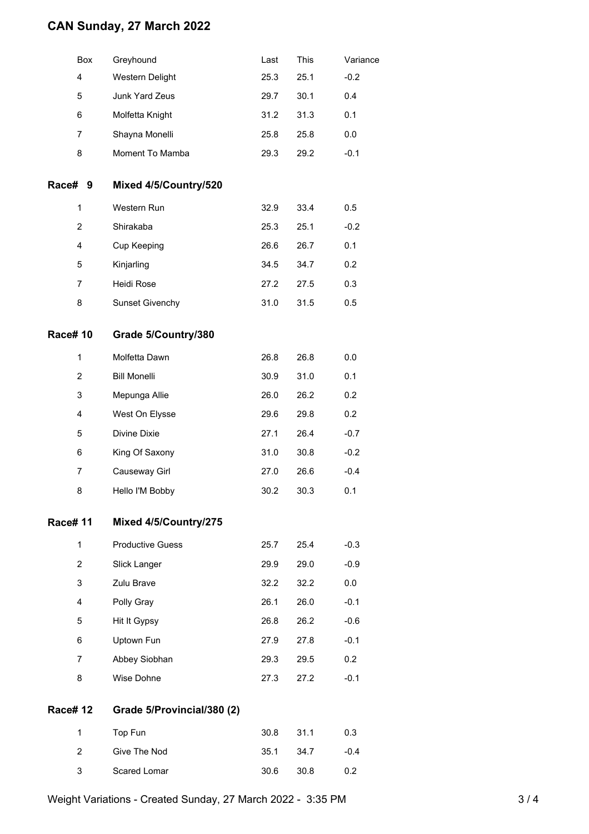### **CAN Sunday, 27 March 2022**

| Box            | Greyhound                  | Last | This | Variance |
|----------------|----------------------------|------|------|----------|
| 4              | Western Delight            | 25.3 | 25.1 | $-0.2$   |
| 5              | Junk Yard Zeus             | 29.7 | 30.1 | 0.4      |
| 6              | Molfetta Knight            | 31.2 | 31.3 | 0.1      |
| 7              | Shayna Monelli             | 25.8 | 25.8 | 0.0      |
| 8              | Moment To Mamba            | 29.3 | 29.2 | $-0.1$   |
| Race# 9        | Mixed 4/5/Country/520      |      |      |          |
| $\mathbf{1}$   | Western Run                | 32.9 | 33.4 | 0.5      |
| $\overline{2}$ | Shirakaba                  | 25.3 | 25.1 | $-0.2$   |
| 4              | Cup Keeping                | 26.6 | 26.7 | 0.1      |
| 5              | Kinjarling                 | 34.5 | 34.7 | 0.2      |
| 7              | Heidi Rose                 | 27.2 | 27.5 | 0.3      |
| 8              | <b>Sunset Givenchy</b>     | 31.0 | 31.5 | 0.5      |
| <b>Race#10</b> | Grade 5/Country/380        |      |      |          |
| $\mathbf 1$    | Molfetta Dawn              | 26.8 | 26.8 | 0.0      |
| $\overline{2}$ | <b>Bill Monelli</b>        | 30.9 | 31.0 | 0.1      |
| 3              | Mepunga Allie              | 26.0 | 26.2 | 0.2      |
| 4              | West On Elysse             | 29.6 | 29.8 | 0.2      |
| 5              | Divine Dixie               | 27.1 | 26.4 | $-0.7$   |
| 6              | King Of Saxony             | 31.0 | 30.8 | $-0.2$   |
| 7              | Causeway Girl              | 27.0 | 26.6 | $-0.4$   |
| 8              | Hello I'M Bobby            | 30.2 | 30.3 | 0.1      |
| <b>Race#11</b> | Mixed 4/5/Country/275      |      |      |          |
| $\mathbf{1}$   | <b>Productive Guess</b>    | 25.7 | 25.4 | $-0.3$   |
| $\overline{2}$ | Slick Langer               | 29.9 | 29.0 | $-0.9$   |
| 3              | Zulu Brave                 | 32.2 | 32.2 | 0.0      |
| 4              | Polly Gray                 | 26.1 | 26.0 | $-0.1$   |
| 5              | Hit It Gypsy               | 26.8 | 26.2 | $-0.6$   |
| 6              | Uptown Fun                 | 27.9 | 27.8 | $-0.1$   |
| $\overline{7}$ | Abbey Siobhan              | 29.3 | 29.5 | 0.2      |
| 8              | Wise Dohne                 | 27.3 | 27.2 | $-0.1$   |
| <b>Race#12</b> | Grade 5/Provincial/380 (2) |      |      |          |
| $\mathbf{1}$   | Top Fun                    | 30.8 | 31.1 | 0.3      |
| $\overline{2}$ | Give The Nod               | 35.1 | 34.7 | $-0.4$   |
| 3              | Scared Lomar               | 30.6 | 30.8 | 0.2      |